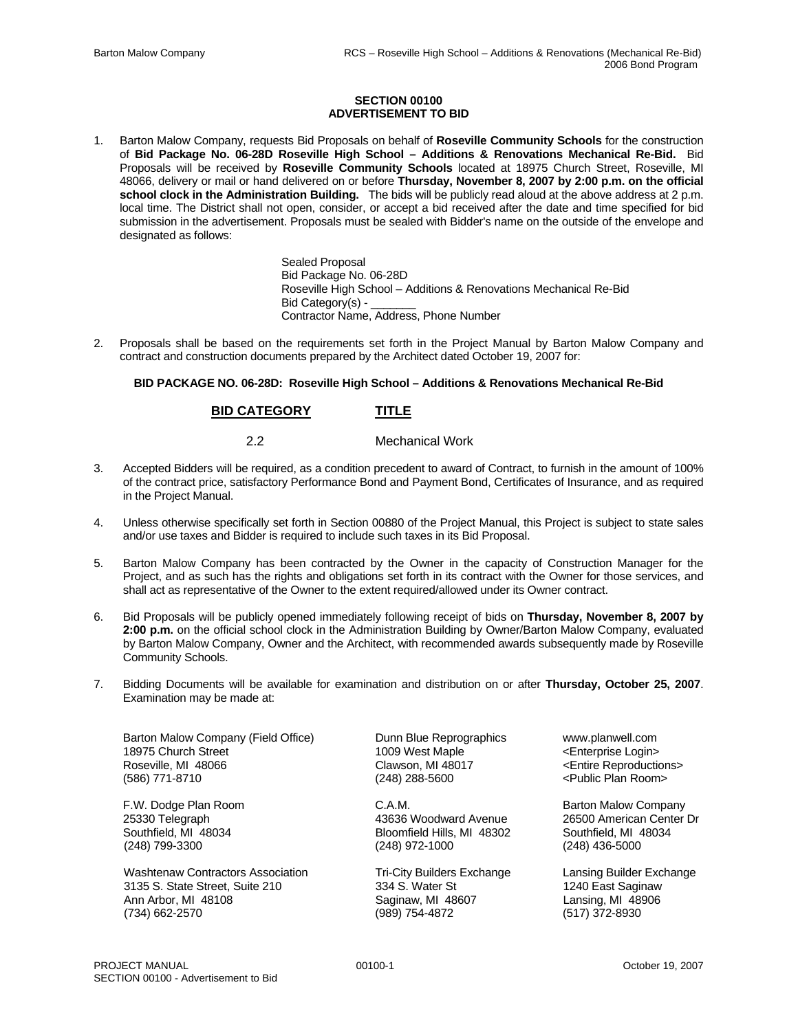## **SECTION 00100 ADVERTISEMENT TO BID**

1. Barton Malow Company, requests Bid Proposals on behalf of **Roseville Community Schools** for the construction of **Bid Package No. 06-28D Roseville High School – Additions & Renovations Mechanical Re-Bid.** Bid Proposals will be received by **Roseville Community Schools** located at 18975 Church Street, Roseville, MI 48066, delivery or mail or hand delivered on or before **Thursday, November 8, 2007 by 2:00 p.m. on the official school clock in the Administration Building.** The bids will be publicly read aloud at the above address at 2 p.m. local time. The District shall not open, consider, or accept a bid received after the date and time specified for bid submission in the advertisement. Proposals must be sealed with Bidder's name on the outside of the envelope and designated as follows:

> Sealed Proposal Bid Package No. 06-28D Roseville High School – Additions & Renovations Mechanical Re-Bid Bid Category(s) -Contractor Name, Address, Phone Number

2. Proposals shall be based on the requirements set forth in the Project Manual by Barton Malow Company and contract and construction documents prepared by the Architect dated October 19, 2007 for:

## **BID PACKAGE NO. 06-28D: Roseville High School – Additions & Renovations Mechanical Re-Bid**

## **BID CATEGORY TITLE**

2.2 Mechanical Work

- 3. Accepted Bidders will be required, as a condition precedent to award of Contract, to furnish in the amount of 100% of the contract price, satisfactory Performance Bond and Payment Bond, Certificates of Insurance, and as required in the Project Manual.
- 4. Unless otherwise specifically set forth in Section 00880 of the Project Manual, this Project is subject to state sales and/or use taxes and Bidder is required to include such taxes in its Bid Proposal.
- 5. Barton Malow Company has been contracted by the Owner in the capacity of Construction Manager for the Project, and as such has the rights and obligations set forth in its contract with the Owner for those services, and shall act as representative of the Owner to the extent required/allowed under its Owner contract.
- 6. Bid Proposals will be publicly opened immediately following receipt of bids on **Thursday, November 8, 2007 by 2:00 p.m.** on the official school clock in the Administration Building by Owner/Barton Malow Company, evaluated by Barton Malow Company, Owner and the Architect, with recommended awards subsequently made by Roseville Community Schools.
- 7. Bidding Documents will be available for examination and distribution on or after **Thursday, October 25, 2007**. Examination may be made at:

Barton Malow Company (Field Office) Dunn Blue Reprographics www.planwell.com 18975 Church Street 1009 West Maple 19975 Church Street 1009 West Maple 1009 West Maple 4 Church Street 2009 Vest Maple 1009 West Maple 1009 West Maple 1009 Vest Maple 1009 Vest Maple 1009 West 1009 West 100 Maple 100 Mapl (586) 771-8710 (248) 288-5600 <Public Plan Room>

(248) 799-3300 (248) 672-1000

Washtenaw Contractors Association Tri-City Builders Exchange Lansing Builder Exchange 3135 S. State Street, Suite 210 334 S. Water St 1240 East Saginaw Ann Arbor, MI 48108 Saginaw, MI 48607 Lansing, MI 48906 (734) 662-2570 (989) 754-4872 (517) 372-8930

Bloomfield Hills, MI 48302 Southfield, MI 4<br>(248) 972-1000 (248) 436-5000

<Entire Reproductions>

F.W. Dodge Plan Room C.A.M. Barton Malow Company 25330 Telegraph 1983 American Center Dr 43636 Woodward Avenue 26500 American Center Dr 43636 Voodward Avenue<br>1990 Southfield, MI 48034 American Center Shoomfield Hills, MI 48302 Southfield, MI 48034